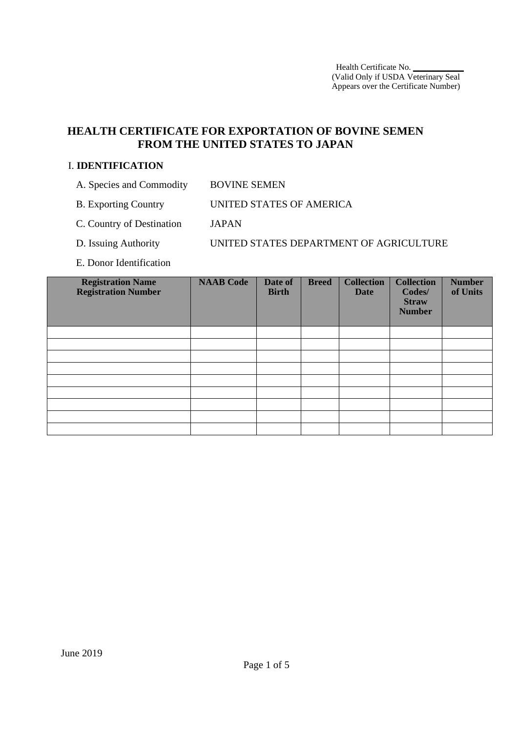# **HEALTH CERTIFICATE FOR EXPORTATION OF BOVINE SEMEN FROM THE UNITED STATES TO JAPAN**

#### I. **IDENTIFICATION**

- A. Species and Commodity BOVINE SEMEN
- B. Exporting Country UNITED STATES OF AMERICA
- C. Country of Destination JAPAN
- D. Issuing Authority UNITED STATES DEPARTMENT OF AGRICULTURE
- E. Donor Identification

| <b>Registration Name</b><br><b>Registration Number</b> | <b>NAAB Code</b> | Date of<br><b>Birth</b> | <b>Breed</b> | <b>Collection</b><br><b>Date</b> | <b>Collection</b><br>Codes/<br><b>Straw</b><br><b>Number</b> | <b>Number</b><br>of Units |
|--------------------------------------------------------|------------------|-------------------------|--------------|----------------------------------|--------------------------------------------------------------|---------------------------|
|                                                        |                  |                         |              |                                  |                                                              |                           |
|                                                        |                  |                         |              |                                  |                                                              |                           |
|                                                        |                  |                         |              |                                  |                                                              |                           |
|                                                        |                  |                         |              |                                  |                                                              |                           |
|                                                        |                  |                         |              |                                  |                                                              |                           |
|                                                        |                  |                         |              |                                  |                                                              |                           |
|                                                        |                  |                         |              |                                  |                                                              |                           |
|                                                        |                  |                         |              |                                  |                                                              |                           |
|                                                        |                  |                         |              |                                  |                                                              |                           |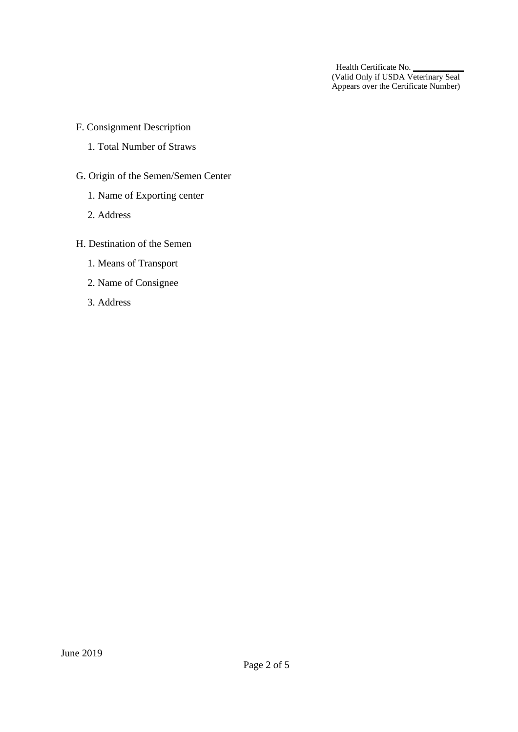- F. Consignment Description
	- 1. Total Number of Straws
- G. Origin of the Semen/Semen Center
	- 1. Name of Exporting center
	- 2. Address
- H. Destination of the Semen
	- 1. Means of Transport
	- 2. Name of Consignee
	- 3. Address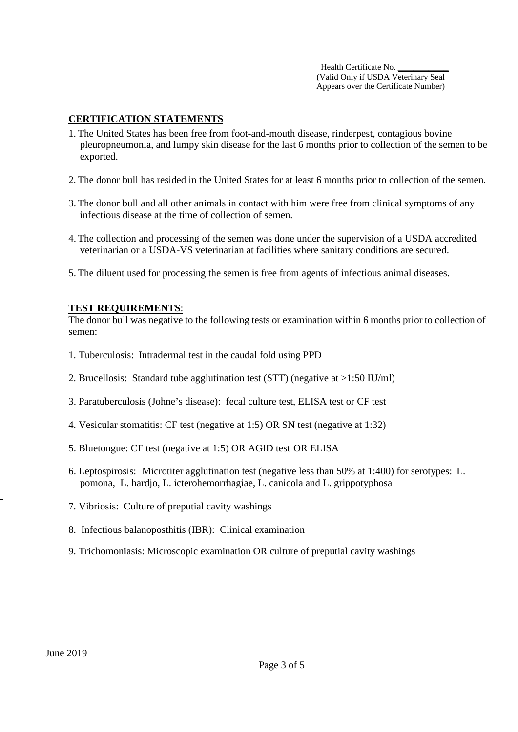## **CERTIFICATION STATEMENTS**

- 1. The United States has been free from foot-and-mouth disease, rinderpest, contagious bovine pleuropneumonia, and lumpy skin disease for the last 6 months prior to collection of the semen to be exported.
- 2. The donor bull has resided in the United States for at least 6 months prior to collection of the semen.
- 3. The donor bull and all other animals in contact with him were free from clinical symptoms of any infectious disease at the time of collection of semen.
- 4. The collection and processing of the semen was done under the supervision of a USDA accredited veterinarian or a USDA-VS veterinarian at facilities where sanitary conditions are secured.
- 5. The diluent used for processing the semen is free from agents of infectious animal diseases.

#### **TEST REQUIREMENTS**:

The donor bull was negative to the following tests or examination within 6 months prior to collection of semen:

- 1. Tuberculosis: Intradermal test in the caudal fold using PPD
- 2. Brucellosis: Standard tube agglutination test (STT) (negative at >1:50 IU/ml)
- 3. Paratuberculosis (Johne's disease): fecal culture test, ELISA test or CF test
- 4. Vesicular stomatitis: CF test (negative at 1:5) OR SN test (negative at 1:32)
- 5. Bluetongue: CF test (negative at 1:5) OR AGID test OR ELISA
- 6. Leptospirosis: Microtiter agglutination test (negative less than 50% at 1:400) for serotypes: L. pomona, L. hardjo, L. icterohemorrhagiae, L. canicola and L. grippotyphosa
- 7. Vibriosis: Culture of preputial cavity washings
- 8. Infectious balanoposthitis (IBR): Clinical examination
- 9. Trichomoniasis: Microscopic examination OR culture of preputial cavity washings

l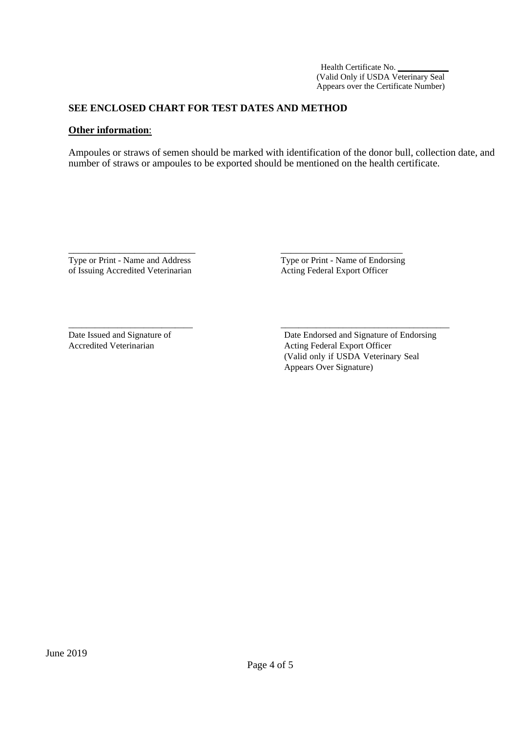### **SEE ENCLOSED CHART FOR TEST DATES AND METHOD**

\_\_\_\_\_\_\_\_\_\_\_\_\_\_\_\_\_\_\_\_\_\_\_\_\_ \_\_\_\_\_\_\_\_\_\_\_\_\_\_\_\_\_\_\_\_\_\_\_\_

\_\_\_\_\_\_\_\_\_\_\_\_\_\_\_\_\_\_\_\_\_\_\_\_\_\_\_\_ \_\_\_\_\_\_\_\_\_\_\_\_\_\_\_\_\_\_\_\_\_\_\_\_\_\_\_\_\_\_\_\_\_\_\_\_\_\_

#### **Other information**:

Ampoules or straws of semen should be marked with identification of the donor bull, collection date, and number of straws or ampoules to be exported should be mentioned on the health certificate.

Type or Print - Name and Address Type or Print - Name of Endorsing of Issuing Accredited Veterinarian Acting Federal Export Officer

Date Issued and Signature of Date Endorsed and Signature of Endorsing Accredited Veterinarian Acting Federal Export Officer (Valid only if USDA Veterinary Seal Appears Over Signature)